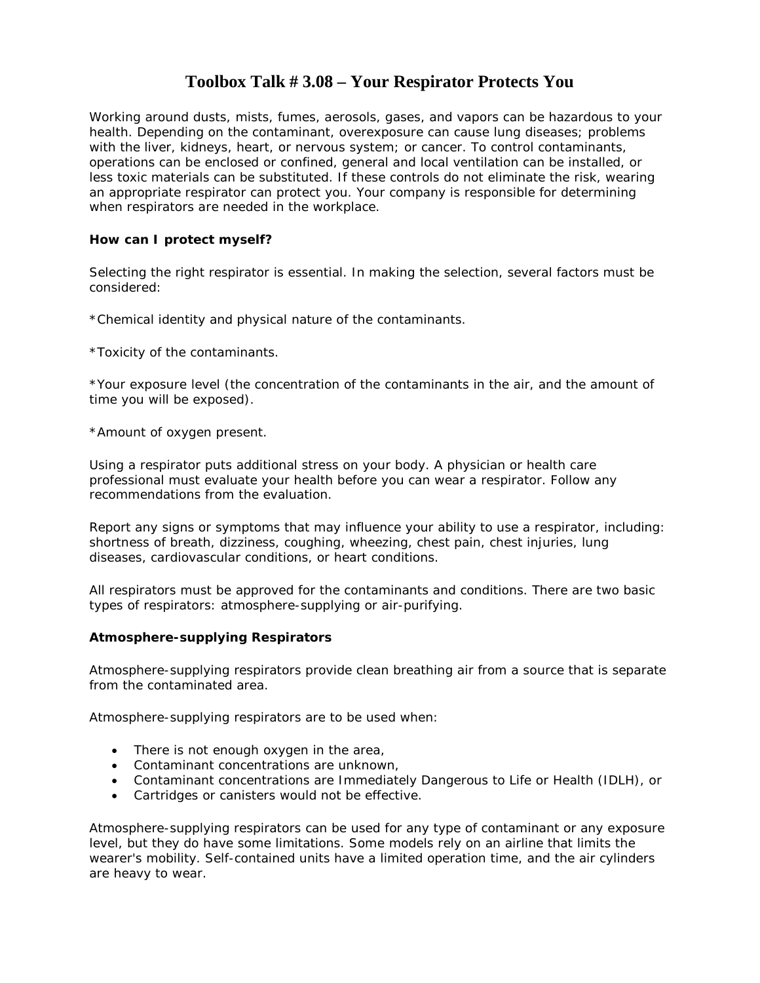### **Toolbox Talk # 3.08 – Your Respirator Protects You**

Working around dusts, mists, fumes, aerosols, gases, and vapors can be hazardous to your health. Depending on the contaminant, overexposure can cause lung diseases; problems with the liver, kidneys, heart, or nervous system; or cancer. To control contaminants, operations can be enclosed or confined, general and local ventilation can be installed, or less toxic materials can be substituted. If these controls do not eliminate the risk, wearing an appropriate respirator can protect you. Your company is responsible for determining when respirators are needed in the workplace.

#### **How can I protect myself?**

Selecting the right respirator is essential. In making the selection, several factors must be considered:

\*Chemical identity and physical nature of the contaminants.

\*Toxicity of the contaminants.

\*Your exposure level (the concentration of the contaminants in the air, and the amount of time you will be exposed).

\*Amount of oxygen present.

Using a respirator puts additional stress on your body. A physician or health care professional must evaluate your health before you can wear a respirator. Follow any recommendations from the evaluation.

Report any signs or symptoms that may influence your ability to use a respirator, including: shortness of breath, dizziness, coughing, wheezing, chest pain, chest injuries, lung diseases, cardiovascular conditions, or heart conditions.

All respirators must be approved for the contaminants and conditions. There are two basic types of respirators: atmosphere-supplying or air-purifying.

#### **Atmosphere-supplying Respirators**

Atmosphere-supplying respirators provide clean breathing air from a source that is separate from the contaminated area.

Atmosphere-supplying respirators are to be used when:

- There is not enough oxygen in the area,
- Contaminant concentrations are unknown,
- Contaminant concentrations are Immediately Dangerous to Life or Health (IDLH), or
- Cartridges or canisters would not be effective.

Atmosphere-supplying respirators can be used for any type of contaminant or any exposure level, but they do have some limitations. Some models rely on an airline that limits the wearer's mobility. Self-contained units have a limited operation time, and the air cylinders are heavy to wear.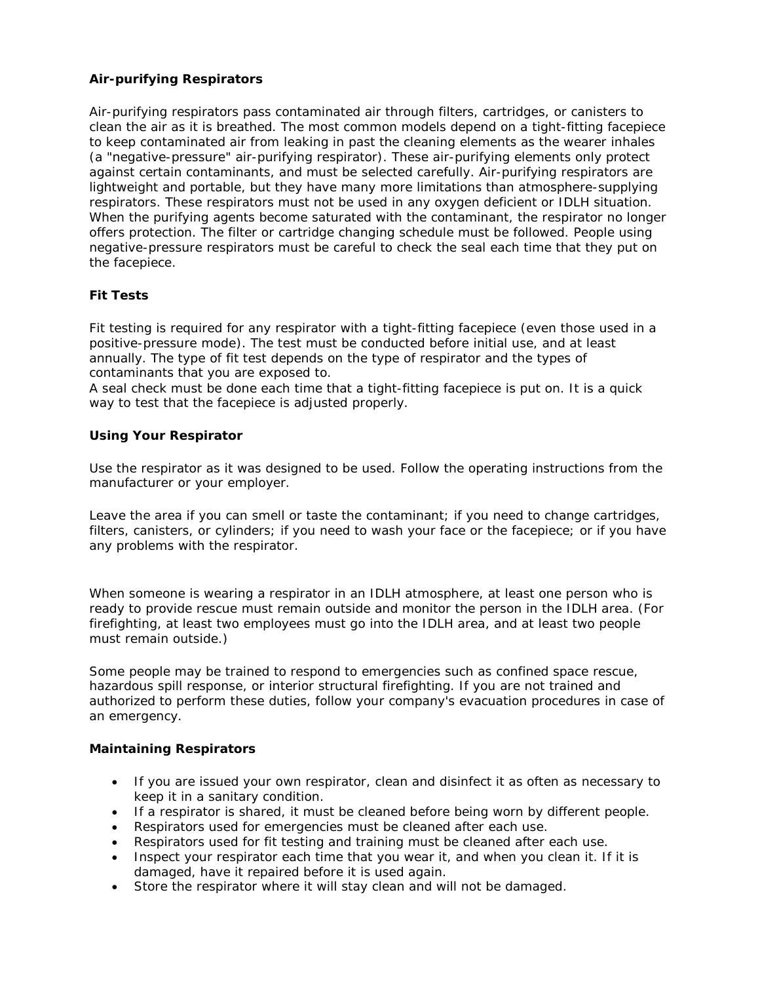#### **Air-purifying Respirators**

Air-purifying respirators pass contaminated air through filters, cartridges, or canisters to clean the air as it is breathed. The most common models depend on a tight-fitting facepiece to keep contaminated air from leaking in past the cleaning elements as the wearer inhales (a "negative-pressure" air-purifying respirator). These air-purifying elements only protect against certain contaminants, and must be selected carefully. Air-purifying respirators are lightweight and portable, but they have many more limitations than atmosphere-supplying respirators. These respirators must not be used in any oxygen deficient or IDLH situation. When the purifying agents become saturated with the contaminant, the respirator no longer offers protection. The filter or cartridge changing schedule must be followed. People using negative-pressure respirators must be careful to check the seal each time that they put on the facepiece.

#### **Fit Tests**

Fit testing is required for any respirator with a tight-fitting facepiece (even those used in a positive-pressure mode). The test must be conducted before initial use, and at least annually. The type of fit test depends on the type of respirator and the types of contaminants that you are exposed to.

A seal check must be done each time that a tight-fitting facepiece is put on. It is a quick way to test that the facepiece is adjusted properly.

#### **Using Your Respirator**

Use the respirator as it was designed to be used. Follow the operating instructions from the manufacturer or your employer.

Leave the area if you can smell or taste the contaminant; if you need to change cartridges, filters, canisters, or cylinders; if you need to wash your face or the facepiece; or if you have any problems with the respirator.

When someone is wearing a respirator in an IDLH atmosphere, at least one person who is ready to provide rescue must remain outside and monitor the person in the IDLH area. (For firefighting, at least two employees must go into the IDLH area, and at least two people must remain outside.)

Some people may be trained to respond to emergencies such as confined space rescue, hazardous spill response, or interior structural firefighting. If you are not trained and authorized to perform these duties, follow your company's evacuation procedures in case of an emergency.

#### **Maintaining Respirators**

- If you are issued your own respirator, clean and disinfect it as often as necessary to keep it in a sanitary condition.
- If a respirator is shared, it must be cleaned before being worn by different people.
- Respirators used for emergencies must be cleaned after each use.
- Respirators used for fit testing and training must be cleaned after each use.
- Inspect your respirator each time that you wear it, and when you clean it. If it is damaged, have it repaired before it is used again.
- Store the respirator where it will stay clean and will not be damaged.